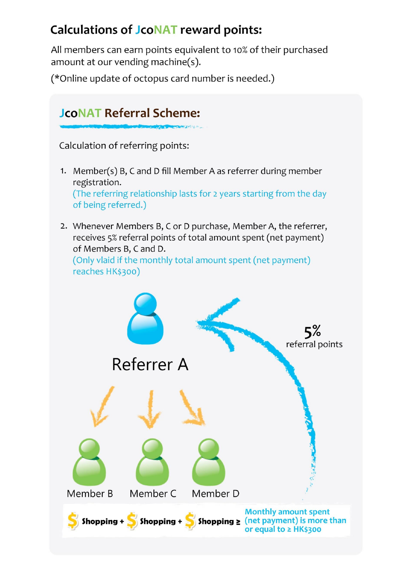## **Calculations of JcoNAT reward points:**

All members can earn points equivalent to 10% of their purchased amount at our vending machine(s).

(\*Online update of octopus card number is needed.)